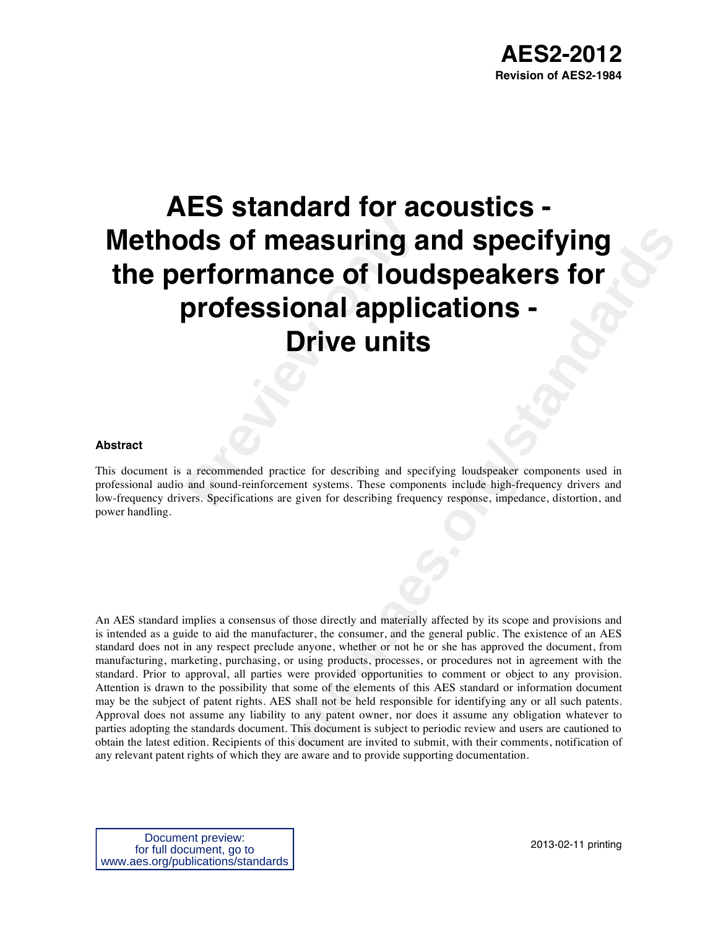# **Preview of Measuring and Section 2015 of measuring and professional applicantly of the section of and sound-reinforcement systems. These components. Specifications are given for describing frequency of**  $\frac{1}{2}$  **are \frac{1 AES standard for acoustics - Methods of measuring and specifying the performance of loudspeakers for professional applications - Drive units**

## **Abstract**

This document is a recommended practice for describing and specifying loudspeaker components used in professional audio and sound-reinforcement systems. These components include high-frequency drivers and low-frequency drivers. Specifications are given for describing frequency response, impedance, distortion, and power handling.

**example 16 Tould Specifying**<br> **with the condition S**<br> **to Condity and Specifying loodspeaker components used in<br>
Drive units<br>
Drive units<br>
we can be components include high-frequency drivers and<br>
given for describing freq** An AES standard implies a consensus of those directly and materially affected by its scope and provisions and is intended as a guide to aid the manufacturer, the consumer, and the general public. The existence of an AES standard does not in any respect preclude anyone, whether or not he or she has approved the document, from manufacturing, marketing, purchasing, or using products, processes, or procedures not in agreement with the standard. Prior to approval, all parties were provided opportunities to comment or object to any provision. Attention is drawn to the possibility that some of the elements of this AES standard or information document may be the subject of patent rights. AES shall not be held responsible for identifying any or all such patents. Approval does not assume any liability to any patent owner, nor does it assume any obligation whatever to parties adopting the standards document. This document is subject to periodic review and users are cautioned to obtain the latest edition. Recipients of this document are invited to submit, with their comments, notification of any relevant patent rights of which they are aware and to provide supporting documentation.

Document preview: for full document, go to www.aes.org/publications/standards

2013-02-11 printing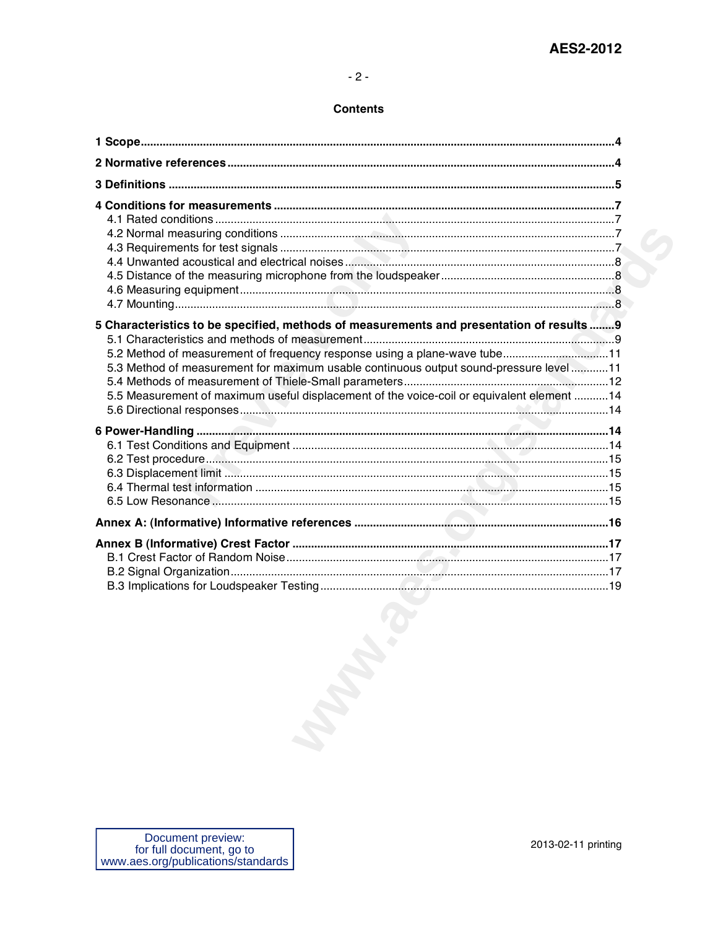## **Contents**

| 5 Characteristics to be specified, methods of measurements and presentation of results 9<br>5.2 Method of measurement of frequency response using a plane-wave tube11<br>5.3 Method of measurement for maximum usable continuous output sound-pressure level11<br>5.5 Measurement of maximum useful displacement of the voice-coil or equivalent element 14 |  |
|-------------------------------------------------------------------------------------------------------------------------------------------------------------------------------------------------------------------------------------------------------------------------------------------------------------------------------------------------------------|--|
|                                                                                                                                                                                                                                                                                                                                                             |  |
|                                                                                                                                                                                                                                                                                                                                                             |  |
| March 1                                                                                                                                                                                                                                                                                                                                                     |  |